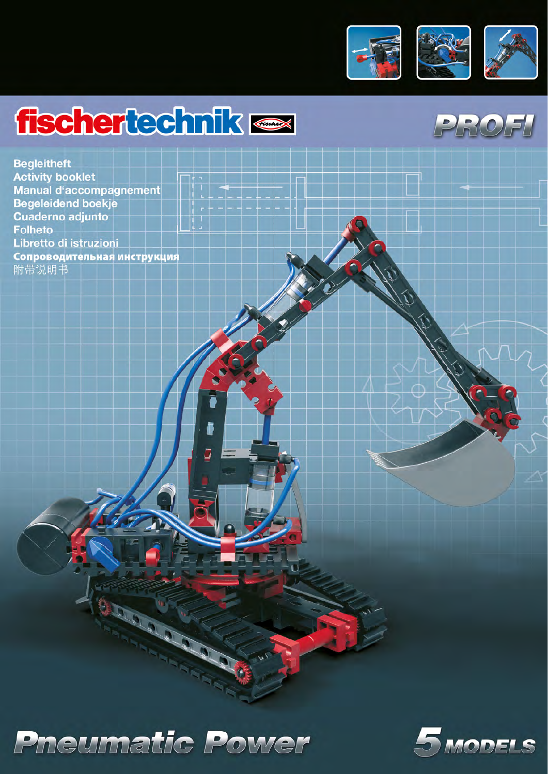

# fischertechnik <

**Begleitheft Activity booklet** Manual d'accompagnement **Begeleidend boekje Cuaderno adjunto Folheto** Libretto di istruzioni Сопроводительная инструкция 附带说明书



Call Cal

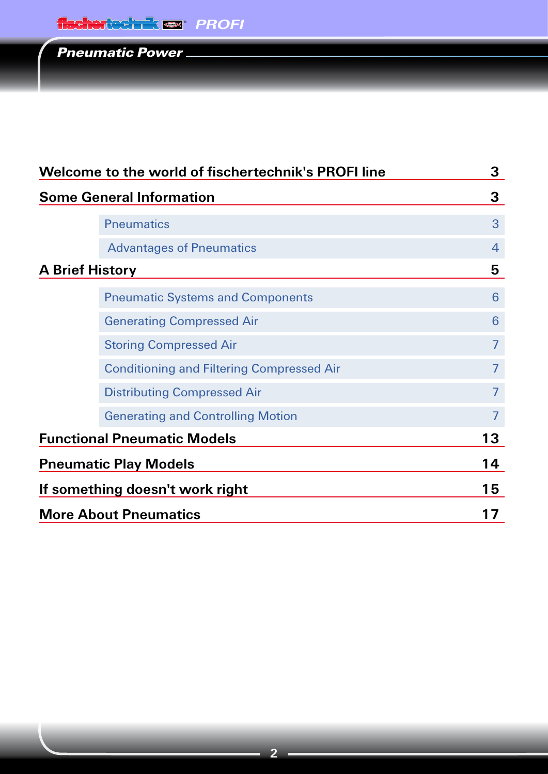| Welcome to the world of fischertechnik's PROFI line |                                                  | 3              |
|-----------------------------------------------------|--------------------------------------------------|----------------|
|                                                     | <b>Some General Information</b>                  |                |
|                                                     | <b>Pneumatics</b>                                | 3              |
|                                                     | <b>Advantages of Pneumatics</b>                  | 4              |
|                                                     | <b>A Brief History</b>                           | 5              |
|                                                     | <b>Pneumatic Systems and Components</b>          | 6              |
|                                                     | <b>Generating Compressed Air</b>                 | 6              |
|                                                     | <b>Storing Compressed Air</b>                    | $\overline{7}$ |
|                                                     | <b>Conditioning and Filtering Compressed Air</b> | $\overline{7}$ |
|                                                     | <b>Distributing Compressed Air</b>               | $\overline{7}$ |
|                                                     | <b>Generating and Controlling Motion</b>         | $\overline{7}$ |
| <b>Functional Pneumatic Models</b>                  |                                                  | 13             |
| <b>Pneumatic Play Models</b>                        | 14                                               |                |
| If something doesn't work right                     | 15                                               |                |
|                                                     | <b>More About Pneumatics</b>                     | 17             |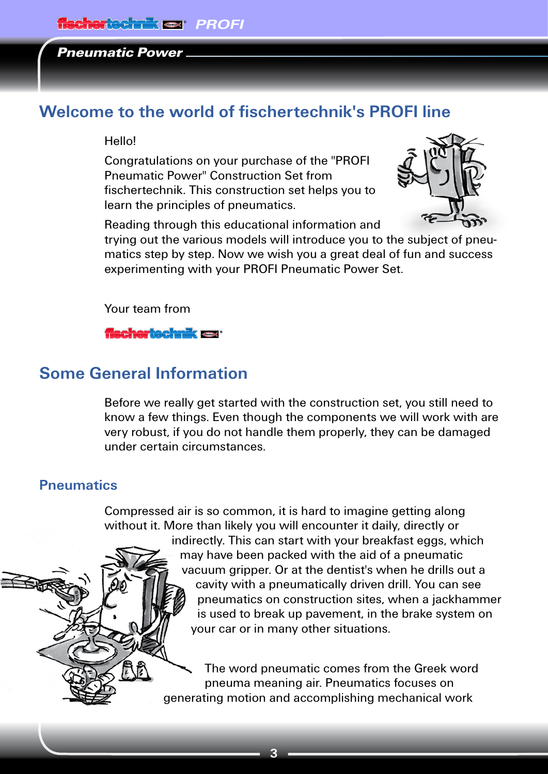# <span id="page-2-0"></span>**Welcome to the world of fischertechnik's PROFI line**

#### Hello!

Congratulations on your purchase of the "PROFI Pneumatic Power" Construction Set from fischertechnik. This construction set helps you to learn the principles of pneumatics.



Reading through this educational information and

trying out the various models will introduce you to the subject of pneumatics step by step. Now we wish you a great deal of fun and success experimenting with your PROFI Pneumatic Power Set.

Your team from

## **fischertechnik ox**

# **Some General Information**

Before we really get started with the construction set, you still need to know a few things. Even though the components we will work with are very robust, if you do not handle them properly, they can be damaged under certain circumstances.

## **Pneumatics**

Compressed air is so common, it is hard to imagine getting along without it. More than likely you will encounter it daily, directly or

indirectly. This can start with your breakfast eggs, which may have been packed with the aid of a pneumatic vacuum gripper. Or at the dentist's when he drills out a cavity with a pneumatically driven drill. You can see pneumatics on construction sites, when a jackhammer is used to break up pavement, in the brake system on your car or in many other situations.

The word pneumatic comes from the Greek word pneuma meaning air. Pneumatics focuses on generating motion and accomplishing mechanical work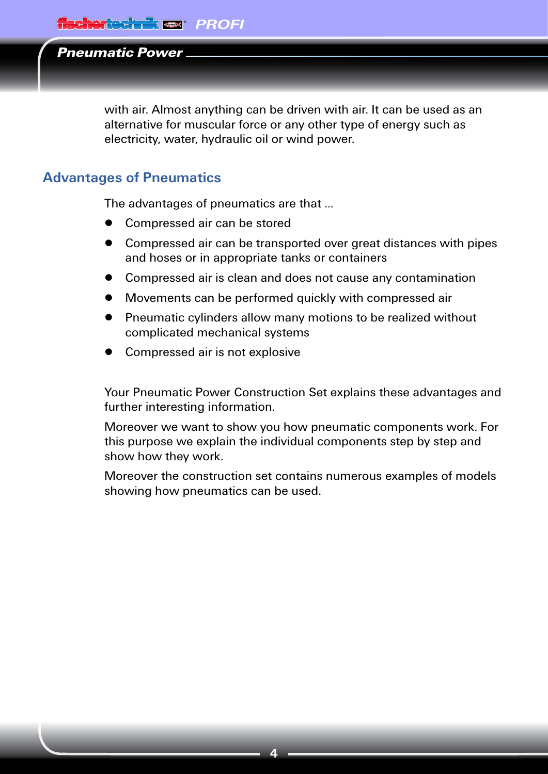<span id="page-3-0"></span>with air. Almost anything can be driven with air. It can be used as an alternative for muscular force or any other type of energy such as electricity, water, hydraulic oil or wind power.

## **Advantages of Pneumatics**

The advantages of pneumatics are that ...

- **▯** Compressed air can be stored
- **▯** Compressed air can be transported over great distances with pipes and hoses or in appropriate tanks or containers
- **▯** Compressed air is clean and does not cause any contamination
- Movements can be performed quickly with compressed air
- **▯** Pneumatic cylinders allow many motions to be realized without complicated mechanical systems
- **▯** Compressed air is not explosive

Your Pneumatic Power Construction Set explains these advantages and further interesting information.

Moreover we want to show you how pneumatic components work. For this purpose we explain the individual components step by step and show how they work.

Moreover the construction set contains numerous examples of models showing how pneumatics can be used.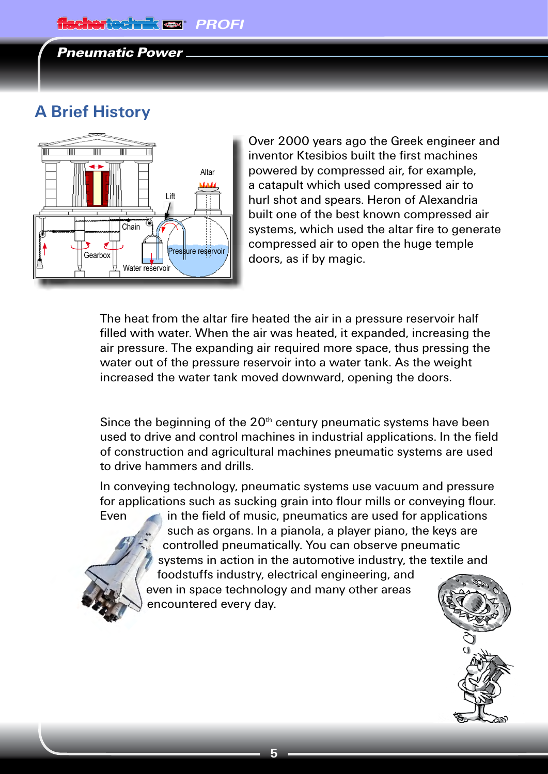# <span id="page-4-0"></span>**A Brief History**



Over 2000 years ago the Greek engineer and inventor Ktesibios built the first machines powered by compressed air, for example, a catapult which used compressed air to hurl shot and spears. Heron of Alexandria built one of the best known compressed air systems, which used the altar fire to generate compressed air to open the huge temple doors, as if by magic.

The heat from the altar fire heated the air in a pressure reservoir half filled with water. When the air was heated, it expanded, increasing the air pressure. The expanding air required more space, thus pressing the water out of the pressure reservoir into a water tank. As the weight increased the water tank moved downward, opening the doors.

Since the beginning of the  $20<sup>th</sup>$  century pneumatic systems have been used to drive and control machines in industrial applications. In the field of construction and agricultural machines pneumatic systems are used to drive hammers and drills.

In conveying technology, pneumatic systems use vacuum and pressure for applications such as sucking grain into flour mills or conveying flour.



Even in the field of music, pneumatics are used for applications such as organs. In a pianola, a player piano, the keys are controlled pneumatically. You can observe pneumatic systems in action in the automotive industry, the textile and foodstuffs industry, electrical engineering, and

even in space technology and many other areas encountered every day.

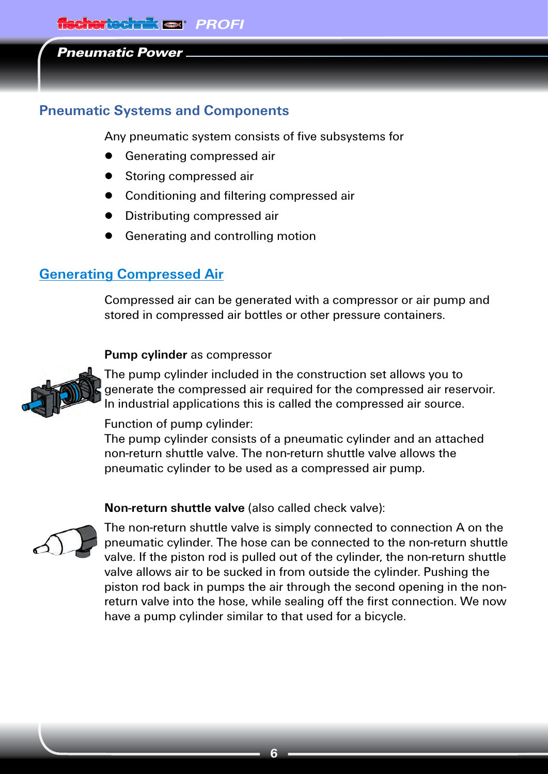## <span id="page-5-0"></span>**Pneumatic Systems and Components**

Any pneumatic system consists of five subsystems for

- Generating compressed air
- Storing compressed air
- **▯** Conditioning and filtering compressed air
- Distributing compressed air
- Generating and controlling motion

# **Generating Compressed Air**

Compressed air can be generated with a compressor or air pump and stored in compressed air bottles or other pressure containers.

#### **Pump cylinder** as compressor



The pump cylinder included in the construction set allows you to generate the compressed air required for the compressed air reservoir. In industrial applications this is called the compressed air source.

## Function of pump cylinder:

The pump cylinder consists of a pneumatic cylinder and an attached non-return shuttle valve. The non-return shuttle valve allows the pneumatic cylinder to be used as a compressed air pump.

## **Non-return shuttle valve** (also called check valve):



The non-return shuttle valve is simply connected to connection A on the pneumatic cylinder. The hose can be connected to the non-return shuttle valve. If the piston rod is pulled out of the cylinder, the non-return shuttle valve allows air to be sucked in from outside the cylinder. Pushing the piston rod back in pumps the air through the second opening in the nonreturn valve into the hose, while sealing off the first connection. We now have a pump cylinder similar to that used for a bicycle.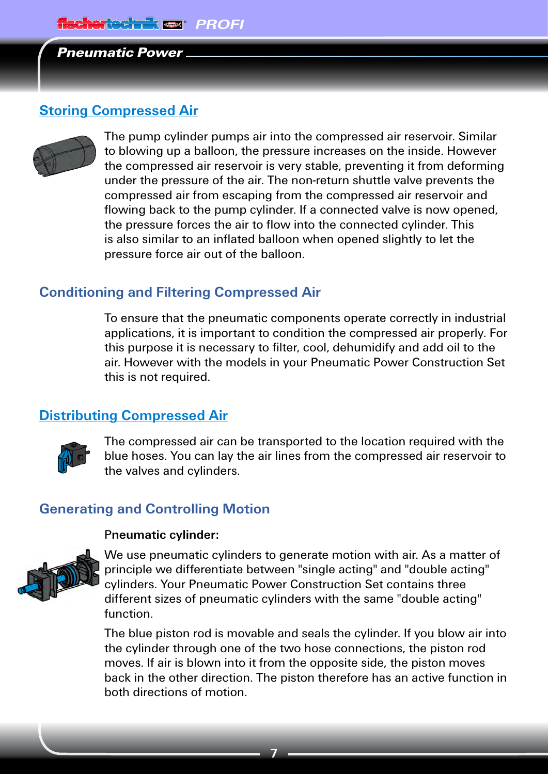## <span id="page-6-0"></span>**Storing Compressed Air**



The pump cylinder pumps air into the compressed air reservoir. Similar to blowing up a balloon, the pressure increases on the inside. However the compressed air reservoir is very stable, preventing it from deforming under the pressure of the air. The non-return shuttle valve prevents the compressed air from escaping from the compressed air reservoir and flowing back to the pump cylinder. If a connected valve is now opened, the pressure forces the air to flow into the connected cylinder. This is also similar to an inflated balloon when opened slightly to let the pressure force air out of the balloon.

## **Conditioning and Filtering Compressed Air**

To ensure that the pneumatic components operate correctly in industrial applications, it is important to condition the compressed air properly. For this purpose it is necessary to filter, cool, dehumidify and add oil to the air. However with the models in your Pneumatic Power Construction Set this is not required.

## **Distributing Compressed Air**



The compressed air can be transported to the location required with the blue hoses. You can lay the air lines from the compressed air reservoir to the valves and cylinders.

## **Generating and Controlling Motion**

#### P**neumatic cylinder:**



We use pneumatic cylinders to generate motion with air. As a matter of principle we differentiate between "single acting" and "double acting" cylinders. Your Pneumatic Power Construction Set contains three different sizes of pneumatic cylinders with the same "double acting" function.

The blue piston rod is movable and seals the cylinder. If you blow air into the cylinder through one of the two hose connections, the piston rod moves. If air is blown into it from the opposite side, the piston moves back in the other direction. The piston therefore has an active function in both directions of motion.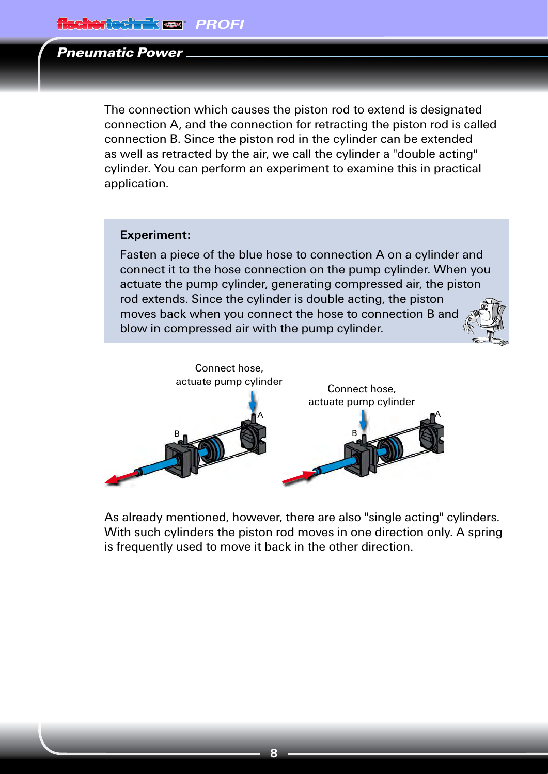The connection which causes the piston rod to extend is designated connection A, and the connection for retracting the piston rod is called connection B. Since the piston rod in the cylinder can be extended as well as retracted by the air, we call the cylinder a "double acting" cylinder. You can perform an experiment to examine this in practical application.

#### **Experiment:**

Fasten a piece of the blue hose to connection A on a cylinder and connect it to the hose connection on the pump cylinder. When you actuate the pump cylinder, generating compressed air, the piston rod extends. Since the cylinder is double acting, the piston moves back when you connect the hose to connection B and blow in compressed air with the pump cylinder.



As already mentioned, however, there are also "single acting" cylinders. With such cylinders the piston rod moves in one direction only. A spring is frequently used to move it back in the other direction.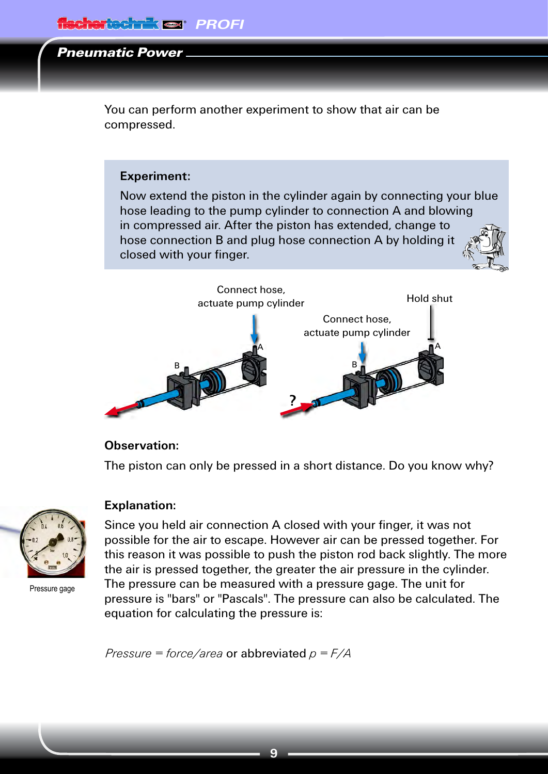You can perform another experiment to show that air can be compressed.

#### **Experiment:**

Now extend the piston in the cylinder again by connecting your blue hose leading to the pump cylinder to connection A and blowing in compressed air. After the piston has extended, change to hose connection B and plug hose connection A by holding it closed with your finger.



#### **Observation:**

The piston can only be pressed in a short distance. Do you know why?



Pressure gage

#### **Explanation:**

Since you held air connection A closed with your finger, it was not possible for the air to escape. However air can be pressed together. For this reason it was possible to push the piston rod back slightly. The more the air is pressed together, the greater the air pressure in the cylinder. The pressure can be measured with a pressure gage. The unit for pressure is "bars" or "Pascals". The pressure can also be calculated. The equation for calculating the pressure is:

*Pressure = force/area* or abbreviated *p = F/A*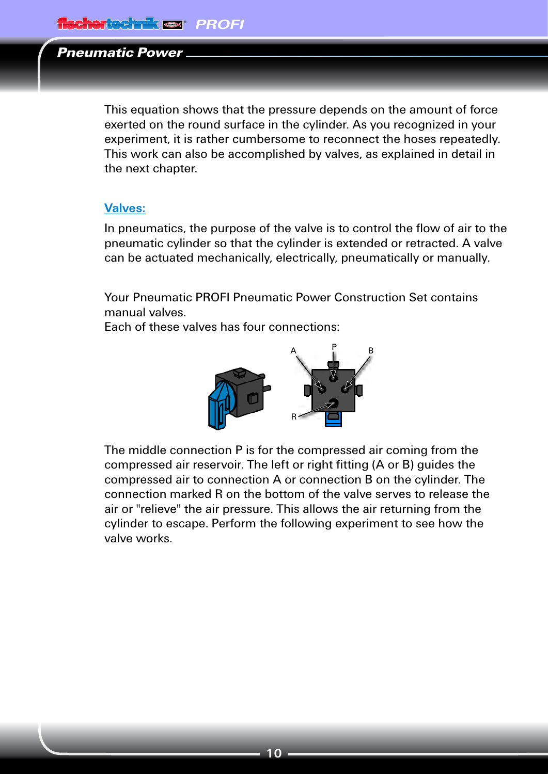This equation shows that the pressure depends on the amount of force exerted on the round surface in the cylinder. As you recognized in your experiment, it is rather cumbersome to reconnect the hoses repeatedly. This work can also be accomplished by valves, as explained in detail in the next chapter.

#### **Valves:**

In pneumatics, the purpose of the valve is to control the flow of air to the pneumatic cylinder so that the cylinder is extended or retracted. A valve can be actuated mechanically, electrically, pneumatically or manually.

Your Pneumatic PROFI Pneumatic Power Construction Set contains manual valves.

Each of these valves has four connections:



The middle connection P is for the compressed air coming from the compressed air reservoir. The left or right fitting (A or B) guides the compressed air to connection A or connection B on the cylinder. The connection marked R on the bottom of the valve serves to release the air or "relieve" the air pressure. This allows the air returning from the cylinder to escape. Perform the following experiment to see how the valve works.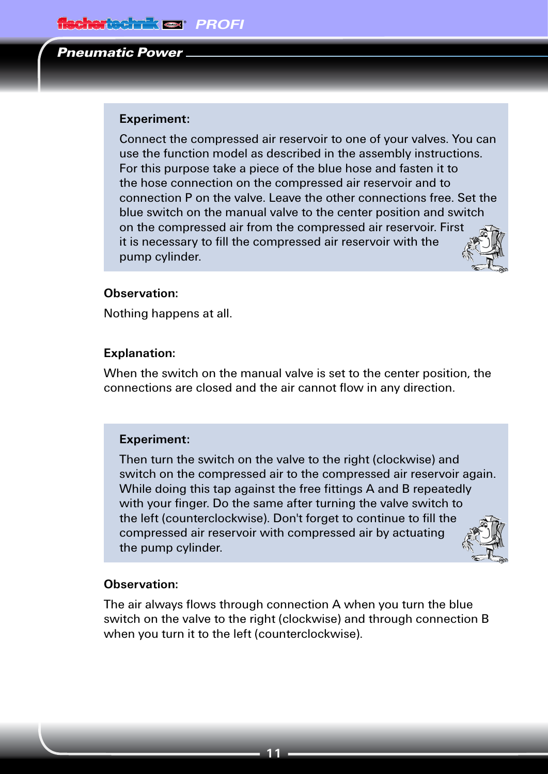#### **Experiment:**

Connect the compressed air reservoir to one of your valves. You can use the function model as described in the assembly instructions. For this purpose take a piece of the blue hose and fasten it to the hose connection on the compressed air reservoir and to connection P on the valve. Leave the other connections free. Set the blue switch on the manual valve to the center position and switch on the compressed air from the compressed air reservoir. First it is necessary to fill the compressed air reservoir with the pump cylinder.

#### **Observation:**

Nothing happens at all.

#### **Explanation:**

When the switch on the manual valve is set to the center position, the connections are closed and the air cannot flow in any direction.

#### **Experiment:**

Then turn the switch on the valve to the right (clockwise) and switch on the compressed air to the compressed air reservoir again. While doing this tap against the free fittings A and B repeatedly with your finger. Do the same after turning the valve switch to the left (counterclockwise). Don't forget to continue to fill the compressed air reservoir with compressed air by actuating the pump cylinder.

#### **Observation:**

The air always flows through connection A when you turn the blue switch on the valve to the right (clockwise) and through connection B when you turn it to the left (counterclockwise).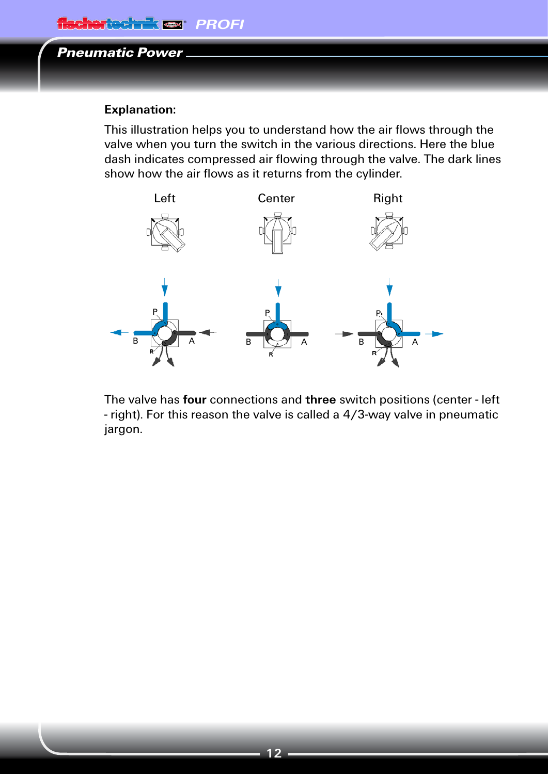## **Explanation:**

This illustration helps you to understand how the air flows through the valve when you turn the switch in the various directions. Here the blue dash indicates compressed air flowing through the valve. The dark lines show how the air flows as it returns from the cylinder.



The valve has **four** connections and **three** switch positions (center - left - right). For this reason the valve is called a 4/3-way valve in pneumatic jargon.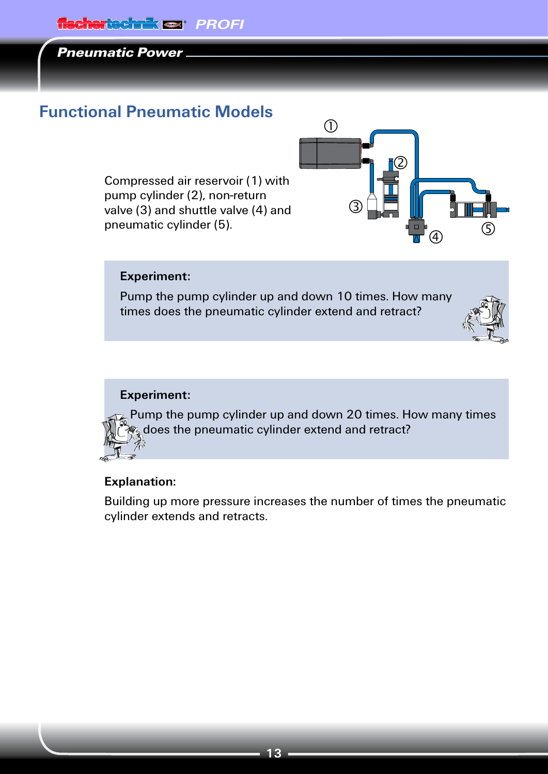# <span id="page-12-0"></span>fischertechnik **en PROFI**

## Pneumatic Power

# **Functional Pneumatic Models**

Compressed air reservoir (1) with pump cylinder (2), non-return valve (3) and shuttle valve (4) and pneumatic cylinder (5).



#### **Experiment:**

Pump the pump cylinder up and down 10 times. How many times does the pneumatic cylinder extend and retract?



#### **Experiment:**

Pump the pump cylinder up and down 20 times. How many times **<sup>2</sup>/<sub>2</sub>** does the pneumatic cylinder extend and retract?

#### **Explanation:**

Building up more pressure increases the number of times the pneumatic cylinder extends and retracts.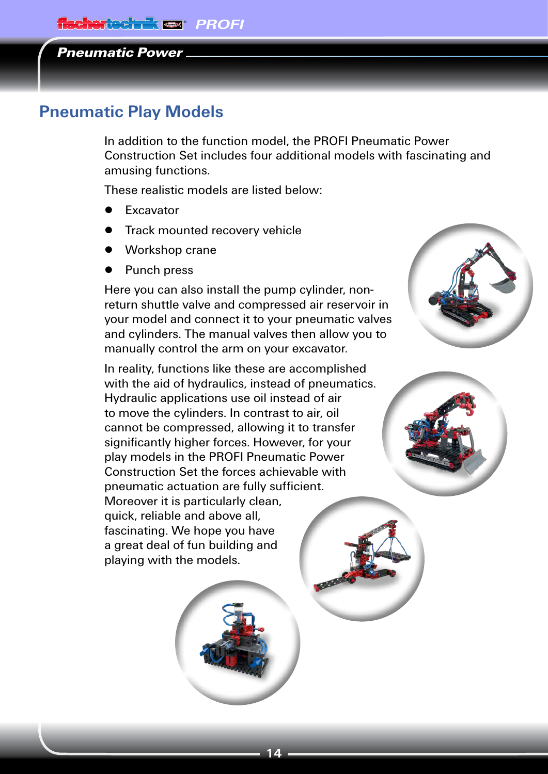## <span id="page-13-0"></span>**Pneumatic Play Models**

In addition to the function model, the PROFI Pneumatic Power Construction Set includes four additional models with fascinating and amusing functions.

These realistic models are listed below:

- **▯** Excavator
- **▯** Track mounted recovery vehicle
- **▯** Workshop crane
- **▯** Punch press

Here you can also install the pump cylinder, nonreturn shuttle valve and compressed air reservoir in your model and connect it to your pneumatic valves and cylinders. The manual valves then allow you to manually control the arm on your excavator.

In reality, functions like these are accomplished with the aid of hydraulics, instead of pneumatics. Hydraulic applications use oil instead of air to move the cylinders. In contrast to air, oil cannot be compressed, allowing it to transfer significantly higher forces. However, for your play models in the PROFI Pneumatic Power Construction Set the forces achievable with pneumatic actuation are fully sufficient. Moreover it is particularly clean, quick, reliable and above all, fascinating. We hope you have a great deal of fun building and playing with the models.



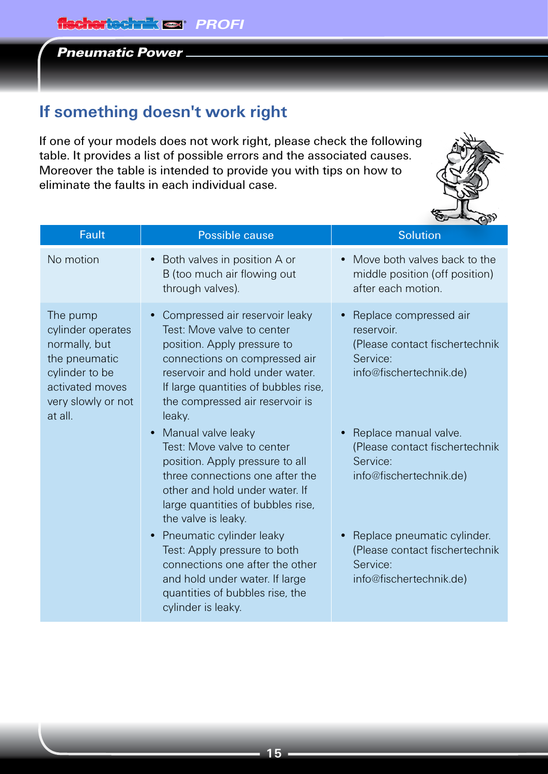# <span id="page-14-0"></span>**If something doesn't work right**

If one of your models does not work right, please check the following table. It provides a list of possible errors and the associated causes. Moreover the table is intended to provide you with tips on how to eliminate the faults in each individual case.



| Fault                                                                                                                                 | Possible cause                                                                                                                                                                                                                                       | <b>Solution</b>                                                                                                            |
|---------------------------------------------------------------------------------------------------------------------------------------|------------------------------------------------------------------------------------------------------------------------------------------------------------------------------------------------------------------------------------------------------|----------------------------------------------------------------------------------------------------------------------------|
| No motion                                                                                                                             | Both valves in position A or<br>B (too much air flowing out<br>through valves).                                                                                                                                                                      | Move both valves back to the<br>$\bullet$<br>middle position (off position)<br>after each motion.                          |
| The pump<br>cylinder operates<br>normally, but<br>the pneumatic<br>cylinder to be<br>activated moves<br>very slowly or not<br>at all. | Compressed air reservoir leaky<br>Test: Move valve to center<br>position. Apply pressure to<br>connections on compressed air<br>reservoir and hold under water.<br>If large quantities of bubbles rise,<br>the compressed air reservoir is<br>leaky. | Replace compressed air<br>$\bullet$<br>reservoir.<br>(Please contact fischertechnik<br>Service:<br>info@fischertechnik.de) |
|                                                                                                                                       | Manual valve leaky<br>Test: Move valve to center<br>position. Apply pressure to all<br>three connections one after the<br>other and hold under water. If<br>large quantities of bubbles rise,<br>the valve is leaky.                                 | Replace manual valve.<br>$\bullet$<br>(Please contact fischertechnik<br>Service:<br>info@fischertechnik.de)                |
|                                                                                                                                       | Pneumatic cylinder leaky<br>Test: Apply pressure to both<br>connections one after the other<br>and hold under water. If large<br>quantities of bubbles rise, the<br>cylinder is leaky.                                                               | Replace pneumatic cylinder.<br>(Please contact fischertechnik<br>Service:<br>info@fischertechnik.de)                       |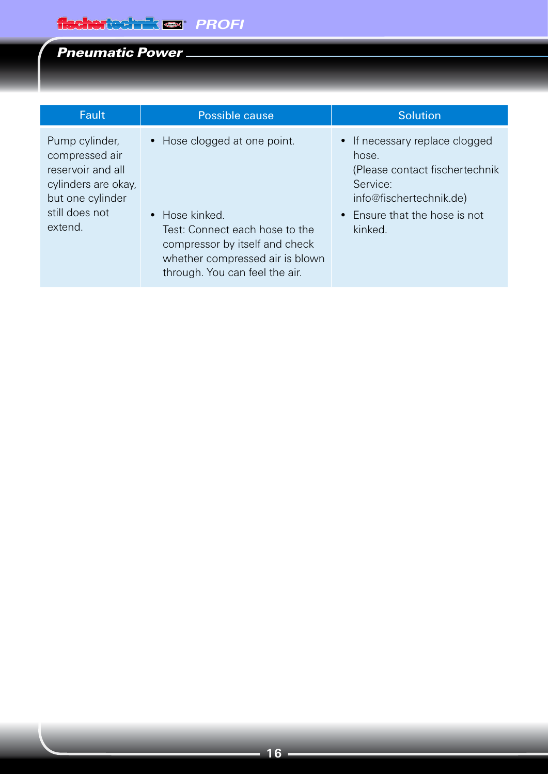| <b>Fault</b>                                                                                                                  | Possible cause                                                                                                                                                                          | <b>Solution</b>                                                                                                                                               |
|-------------------------------------------------------------------------------------------------------------------------------|-----------------------------------------------------------------------------------------------------------------------------------------------------------------------------------------|---------------------------------------------------------------------------------------------------------------------------------------------------------------|
| Pump cylinder,<br>compressed air<br>reservoir and all<br>cylinders are okay,<br>but one cylinder<br>still does not<br>extend. | • Hose clogged at one point.<br>• Hose kinked.<br>Test: Connect each hose to the<br>compressor by itself and check<br>whether compressed air is blown<br>through. You can feel the air. | • If necessary replace clogged<br>hose.<br>(Please contact fischertechnik)<br>Service:<br>info@fischertechnik.de)<br>• Ensure that the hose is not<br>kinked. |